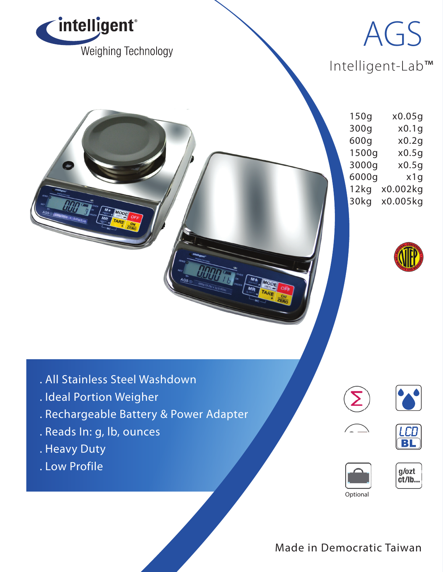

## Intelligent-Lab™ AGS

150g x0.05g 300g x0.1g 600g x0.2g 1500g x0.5g 3000g x0.5g 6000g x1g 12kg x0.002kg 30kg x0.005kg



- . All Stainless Steel Washdown
- . Ideal Portion Weigher
- . Rechargeable Battery & Power Adapter
- . Reads In: g, lb, ounces
- . Heavy Duty
- . Low Profile











Made in Democratic Taiwan